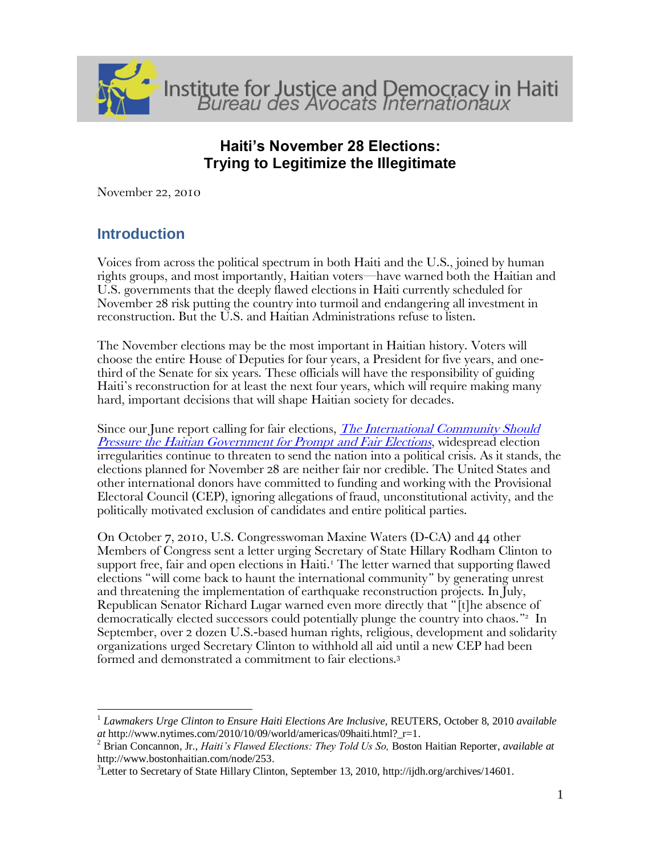

# **Haiti's November 28 Elections: Trying to Legitimize the Illegitimate**

November 22, 2010

# **Introduction**

 $\overline{a}$ 

Voices from across the political spectrum in both Haiti and the U.S., joined by human rights groups, and most importantly, Haitian voters—have warned both the Haitian and U.S. governments that the deeply flawed elections in Haiti currently scheduled for November 28 risk putting the country into turmoil and endangering all investment in reconstruction. But the U.S. and Haitian Administrations refuse to listen.

The November elections may be the most important in Haitian history. Voters will choose the entire House of Deputies for four years, a President for five years, and onethird of the Senate for six years. These officials will have the responsibility of guiding Haiti's reconstruction for at least the next four years, which will require making many hard, important decisions that will shape Haitian society for decades.

Since our June report calling for fair elections, *The International Community Should* [Pressure the Haitian Government for Prompt and Fair Elections](http://ijdh.org/archives/13138), widespread election irregularities continue to threaten to send the nation into a political crisis. As it stands, the elections planned for November 28 are neither fair nor credible. The United States and other international donors have committed to funding and working with the Provisional Electoral Council (CEP), ignoring allegations of fraud, unconstitutional activity, and the politically motivated exclusion of candidates and entire political parties.

On October 7, 2010, U.S. Congresswoman Maxine Waters (D-CA) and 44 other Members of Congress sent a letter urging Secretary of State Hillary Rodham Clinton to support free, fair and open elections in Haiti.<sup>1</sup> The letter warned that supporting flawed elections 'will come back to haunt the international community' by generating unrest and threatening the implementation of earthquake reconstruction projects. In July, Republican Senator Richard Lugar warned even more directly that '[t]he absence of democratically elected successors could potentially plunge the country into chaos."<sup>2</sup> In September, over 2 dozen U.S.-based human rights, religious, development and solidarity organizations urged Secretary Clinton to withhold all aid until a new CEP had been formed and demonstrated a commitment to fair elections.<sup>3</sup>

<sup>1</sup> *Lawmakers Urge Clinton to Ensure Haiti Elections Are Inclusive,* REUTERS, October 8, 2010 *available at* http://www.nytimes.com/2010/10/09/world/americas/09haiti.html?\_r=1.

<sup>2</sup> Brian Concannon, Jr., *Haiti's Flawed Elections: They Told Us So,* Boston Haitian Reporter, *available at* http://www.bostonhaitian.com/node/253.

<sup>&</sup>lt;sup>3</sup>Letter to Secretary of State Hillary Clinton, September 13, 2010[, http://ijdh.org/archives/14601.](http://ijdh.org/archives/14601)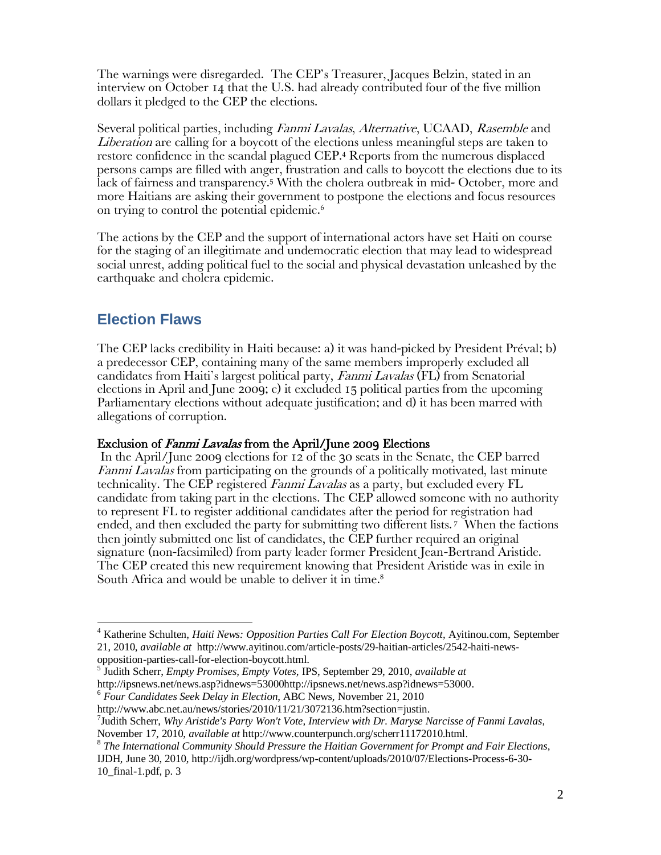The warnings were disregarded. The CEP's Treasurer, Jacques Belzin, stated in an interview on October 14 that the U.S. had already contributed four of the five million dollars it pledged to the CEP the elections.

Several political parties, including Fanmi Lavalas, Alternative, UCAAD, Rasemble and Liberation are calling for a boycott of the elections unless meaningful steps are taken to restore confidence in the scandal plagued CEP.<sup>4</sup> Reports from the numerous displaced persons camps are filled with anger, frustration and calls to boycott the elections due to its lack of fairness and transparency.<sup>5</sup> With the cholera outbreak in mid- October, more and more Haitians are asking their government to postpone the elections and focus resources on trying to control the potential epidemic.<sup>6</sup>

The actions by the CEP and the support of international actors have set Haiti on course for the staging of an illegitimate and undemocratic election that may lead to widespread social unrest, adding political fuel to the social and physical devastation unleashed by the earthquake and cholera epidemic.

# **Election Flaws**

 $\overline{a}$ 

The CEP lacks credibility in Haiti because: a) it was hand-picked by President Préval; b) a predecessor CEP, containing many of the same members improperly excluded all candidates from Haiti's largest political party, Fanmi Lavalas (FL) from Senatorial elections in April and June 2009; c) it excluded 15 political parties from the upcoming Parliamentary elections without adequate justification; and d) it has been marred with allegations of corruption.

#### Exclusion of *Fanmi Lavalas* from the April/June 2009 Elections

In the April/June 2009 elections for 12 of the 30 seats in the Senate, the CEP barred Fanmi Lavalas from participating on the grounds of a politically motivated, last minute technicality. The CEP registered Fanmi Lavalas as a party, but excluded every FL candidate from taking part in the elections. The CEP allowed someone with no authority to represent FL to register additional candidates after the period for registration had ended, and then excluded the party for submitting two different lists. <sup>7</sup> When the factions then jointly submitted one list of candidates, the CEP further required an original signature (non-facsimiled) from party leader former President Jean-Bertrand Aristide. The CEP created this new requirement knowing that President Aristide was in exile in South Africa and would be unable to deliver it in time. 8

5 Judith Scherr, *Empty Promises, Empty Votes,* IPS, September 29, 2010, *available at*  http://ipsnews.net/news.asp?idnews=53000http://ipsnews.net/news.asp?idnews=53000.

<sup>6</sup> *Four Candidates Seek Delay in Election*, ABC News, November 21, 2010

IJDH, June 30, 2010, [http://ijdh.org/wordpress/wp-content/uploads/2010/07/Elections-Process-6-30-](http://ijdh.org/wordpress/wp-content/uploads/2010/07/Elections-Process-6-30-10_final-1.pdf) [10\\_final-1.pdf,](http://ijdh.org/wordpress/wp-content/uploads/2010/07/Elections-Process-6-30-10_final-1.pdf) p. 3

<sup>&</sup>lt;sup>4</sup> Katherine Schulten, *Haiti News: Opposition Parties Call For Election Boycott*, Ayitinou.com, September 21, 2010, *available at* http://www.ayitinou.com/article-posts/29-haitian-articles/2542-haiti-newsopposition-parties-call-for-election-boycott.html.

http://www.abc.net.au/news/stories/2010/11/21/3072136.htm?section=justin.

<sup>7</sup> Judith Scherr, *Why Aristide's Party Won't Vote, Interview with Dr. Maryse Narcisse of Fanmi Lavalas*, November 17, 2010, *available at* [http://www.counterpunch.org/scherr11172010.html.](http://www.counterpunch.org/scherr11172010.html)

<sup>8</sup> *The International Community Should Pressure the Haitian Government for Prompt and Fair Elections*,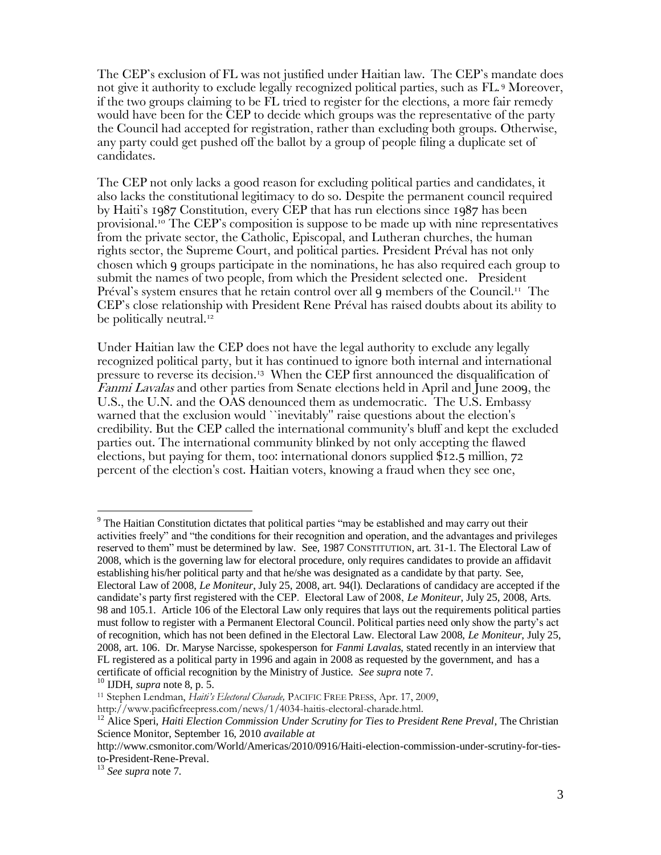The CEP's exclusion of FL was not justified under Haitian law. The CEP's mandate does not give it authority to exclude legally recognized political parties, such as FL. <sup>9</sup> Moreover, if the two groups claiming to be FL tried to register for the elections, a more fair remedy would have been for the CEP to decide which groups was the representative of the party the Council had accepted for registration, rather than excluding both groups. Otherwise, any party could get pushed off the ballot by a group of people filing a duplicate set of candidates.

The CEP not only lacks a good reason for excluding political parties and candidates, it also lacks the constitutional legitimacy to do so. Despite the permanent council required by Haiti's 1987 Constitution, every CEP that has run elections since 1987 has been provisional.<sup>10</sup> The CEP's composition is suppose to be made up with nine representatives from the private sector, the Catholic, Episcopal, and Lutheran churches, the human rights sector, the Supreme Court, and political parties. President Préval has not only chosen which 9 groups participate in the nominations, he has also required each group to submit the names of two people, from which the President selected one. President Préval's system ensures that he retain control over all  $9$  members of the Council.<sup>11</sup> The CEP's close relationship with President Rene Préval has raised doubts about its ability to be politically neutral.<sup>12</sup>

Under Haitian law the CEP does not have the legal authority to exclude any legally recognized political party, but it has continued to ignore both internal and international pressure to reverse its decision.<sup>13</sup> When the CEP first announced the disqualification of Fanmi Lavalas and other parties from Senate elections held in April and June 2009, the U.S., the U.N. and the OAS denounced them as undemocratic. The U.S. Embassy warned that the exclusion would ``inevitably'' raise questions about the election's credibility. But the CEP called the international community's bluff and kept the excluded parties out. The international community blinked by not only accepting the flawed elections, but paying for them, too: international donors supplied \$12.5 million, 72 percent of the election's cost. Haitian voters, knowing a fraud when they see one,

<sup>&</sup>lt;sup>9</sup> The Haitian Constitution dictates that political parties "may be established and may carry out their activities freely" and "the conditions for their recognition and operation, and the advantages and privileges reserved to them" must be determined by law. See, 1987 CONSTITUTION, art. 31-1. The Electoral Law of 2008, which is the governing law for electoral procedure, only requires candidates to provide an affidavit establishing his/her political party and that he/she was designated as a candidate by that party. See, Electoral Law of 2008, *Le Moniteur*, July 25, 2008, art. 94(l). Declarations of candidacy are accepted if the candidate's party first registered with the CEP. Electoral Law of 2008, *Le Moniteur*, July 25, 2008, Arts. 98 and 105.1. Article 106 of the Electoral Law only requires that lays out the requirements political parties must follow to register with a Permanent Electoral Council. Political parties need only show the party's act of recognition, which has not been defined in the Electoral Law. Electoral Law 2008, *Le Moniteur*, July 25, 2008, art. 106. Dr. Maryse Narcisse, spokesperson for *Fanmi Lavalas*, stated recently in an interview that FL registered as a political party in 1996 and again in 2008 as requested by the government, and has a certificate of official recognition by the Ministry of Justice. *See supra* note 7.

<sup>10</sup> IJDH, *supra* note 8, p. 5.

<sup>11</sup> Stephen Lendman, *Haiti's Electoral Charade,* PACIFIC FREE PRESS, Apr. 17, 2009,

http://www.pacificfreepress.com/news/1/4034-haitis-electoral-charade.html.

<sup>&</sup>lt;sup>12</sup> Alice Speri, *Haiti Election Commission Under Scrutiny for Ties to President Rene Preval*, The Christian Science Monitor, September 16, 2010 *available at* 

http://www.csmonitor.com/World/Americas/2010/0916/Haiti-election-commission-under-scrutiny-for-tiesto-President-Rene-Preval.

<sup>13</sup> *See supra* note 7.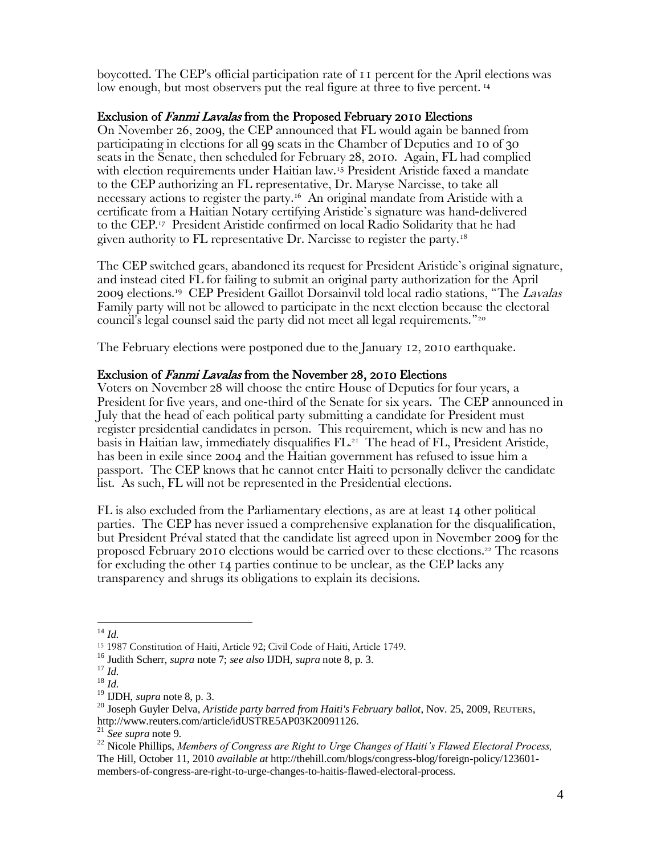boycotted. The CEP's official participation rate of 11 percent for the April elections was low enough, but most observers put the real figure at three to five percent.<sup>14</sup>

#### Exclusion of *Fanmi Lavalas* from the Proposed February 2010 Elections

On November 26, 2009, the CEP announced that FL would again be banned from participating in elections for all 99 seats in the Chamber of Deputies and 10 of 30 seats in the Senate, then scheduled for February 28, 2010. Again, FL had complied with election requirements under Haitian law.<sup>15</sup> President Aristide faxed a mandate to the CEP authorizing an FL representative, Dr. Maryse Narcisse, to take all necessary actions to register the party.<sup>16</sup> An original mandate from Aristide with a certificate from a Haitian Notary certifying Aristide's signature was hand-delivered to the CEP. <sup>17</sup> President Aristide confirmed on local Radio Solidarity that he had given authority to FL representative Dr. Narcisse to register the party.<sup>18</sup>

The CEP switched gears, abandoned its request for President Aristide's original signature, and instead cited FL for failing to submit an original party authorization for the April 2009 elections.<sup>19</sup> CEP President Gaillot Dorsainvil told local radio stations, "The Lavalas Family party will not be allowed to participate in the next election because the electoral council's legal counsel said the party did not meet all legal requirements.'<sup>20</sup>

The February elections were postponed due to the January 12, 2010 earthquake.

#### Exclusion of Fanmi Lavalas from the November 28, 2010 Elections

Voters on November 28 will choose the entire House of Deputies for four years, a President for five years, and one-third of the Senate for six years. The CEP announced in July that the head of each political party submitting a candidate for President must register presidential candidates in person. This requirement, which is new and has no basis in Haitian law, immediately disqualifies FL. 21 The head of FL, President Aristide, has been in exile since 2004 and the Haitian government has refused to issue him a passport. The CEP knows that he cannot enter Haiti to personally deliver the candidate list. As such, FL will not be represented in the Presidential elections.

FL is also excluded from the Parliamentary elections, as are at least 14 other political parties. The CEP has never issued a comprehensive explanation for the disqualification, but President Préval stated that the candidate list agreed upon in November 2009 for the proposed February 2010 elections would be carried over to these elections. <sup>22</sup> The reasons for excluding the other 14 parties continue to be unclear, as the CEP lacks any transparency and shrugs its obligations to explain its decisions.

 $\overline{a}$ <sup>14</sup> *Id.*

<sup>15</sup> 1987 Constitution of Haiti, Article 92; Civil Code of Haiti, Article 1749.

<sup>16</sup> Judith Scherr, *supra* note 7; *see also* IJDH, *supra* note 8, p. 3.

<sup>17</sup> *Id.*

<sup>18</sup> *Id.*

<sup>19</sup> IJDH, *supra* note 8, p. 3.

<sup>20</sup> Joseph Guyler Delva, *Aristide party barred from Haiti's February ballot*, Nov. 25, 2009, REUTERS, http://www.reuters.com/article/idUSTRE5AP03K20091126.

<sup>21</sup> *See supra* note 9.

<sup>22</sup> Nicole Phillips, *Members of Congress are Right to Urge Changes of Haiti's Flawed Electoral Process,* The Hill, October 11, 2010 *available at* http://thehill.com/blogs/congress-blog/foreign-policy/123601 members-of-congress-are-right-to-urge-changes-to-haitis-flawed-electoral-process.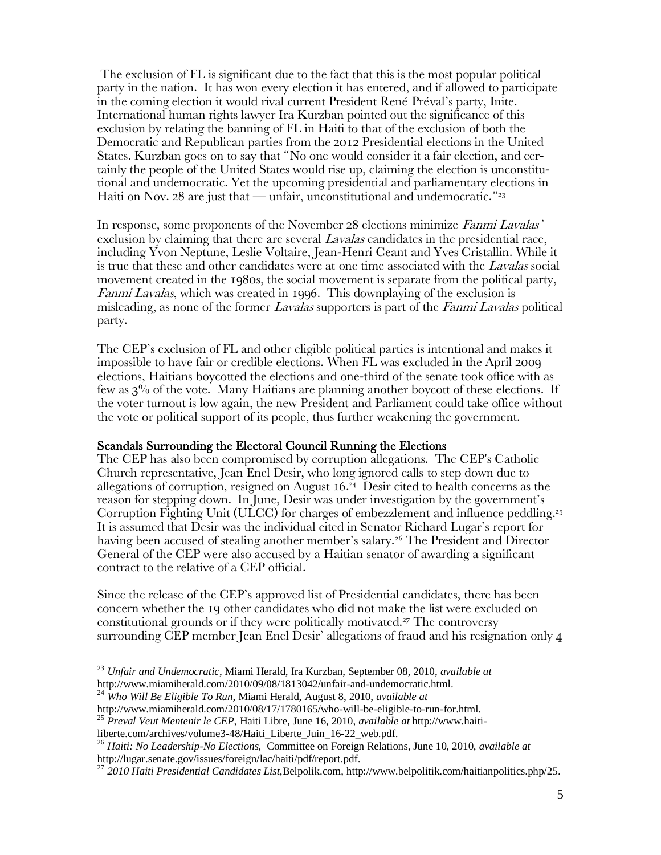The exclusion of FL is significant due to the fact that this is the most popular political party in the nation. It has won every election it has entered, and if allowed to participate in the coming election it would rival current President René Préval's party, Inite. International human rights lawyer Ira Kurzban pointed out the significance of this exclusion by relating the banning of FL in Haiti to that of the exclusion of both the Democratic and Republican parties from the 2012 Presidential elections in the United States. Kurzban goes on to say that 'No one would consider it a fair election, and certainly the people of the United States would rise up, claiming the election is unconstitutional and undemocratic. Yet the upcoming presidential and parliamentary elections in Haiti on Nov. 28 are just that — unfair, unconstitutional and undemocratic.<sup>"23</sup>

In response, some proponents of the November 28 elections minimize Fanmi Lavalas' exclusion by claiming that there are several *Lavalas* candidates in the presidential race, including Yvon Neptune, Leslie Voltaire, Jean-Henri Ceant and Yves Cristallin. While it is true that these and other candidates were at one time associated with the Lavalas social movement created in the 1980s, the social movement is separate from the political party, Fanmi Lavalas, which was created in 1996. This downplaying of the exclusion is misleading, as none of the former *Lavalas* supporters is part of the *Fanmi Lavalas* political party.

The CEP's exclusion of FL and other eligible political parties is intentional and makes it impossible to have fair or credible elections. When FL was excluded in the April 2009 elections, Haitians boycotted the elections and one-third of the senate took office with as few as 3% of the vote. Many Haitians are planning another boycott of these elections. If the voter turnout is low again, the new President and Parliament could take office without the vote or political support of its people, thus further weakening the government.

#### Scandals Surrounding the Electoral Council Running the Elections

The CEP has also been compromised by corruption allegations. The CEP's Catholic Church representative, Jean Enel Desir, who long ignored calls to step down due to allegations of corruption, resigned on August 16. 24 Desir cited to health concerns as the reason for stepping down. In June, Desir was under investigation by the government's Corruption Fighting Unit (ULCC) for charges of embezzlement and influence peddling.<sup>25</sup> It is assumed that Desir was the individual cited in Senator Richard Lugar's report for having been accused of stealing another member's salary.<sup>26</sup> The President and Director General of the CEP were also accused by a Haitian senator of awarding a significant contract to the relative of a CEP official.

Since the release of the CEP's approved list of Presidential candidates, there has been concern whether the 19 other candidates who did not make the list were excluded on constitutional grounds or if they were politically motivated.<sup>27</sup> The controversy surrounding CEP member Jean Enel Desir' allegations of fraud and his resignation only 4

<sup>23</sup> *Unfair and Undemocratic*, Miami Herald, Ira Kurzban, September 08, 2010, *available at* http://www.miamiherald.com/2010/09/08/1813042/unfair-and-undemocratic.html.

<sup>24</sup> *Who Will Be Eligible To Run,* Miami Herald, August 8, 2010, *available at*  http://www.miamiherald.com/2010/08/17/1780165/who-will-be-eligible-to-run-for.html.

<sup>25</sup> *Preval Veut Mentenir le CEP,* Haiti Libre, June 16, 2010, *available at* http://www.haiti-

liberte.com/archives/volume3-48/Haiti\_Liberte\_Juin\_16-22\_web.pdf.

<sup>26</sup> *Haiti: No Leadership-No Elections,* Committee on Foreign Relations, June 10, 2010, *available at*  http://lugar.senate.gov/issues/foreign/lac/haiti/pdf/report.pdf.

<sup>27</sup> *2010 Haiti Presidential Candidates List,*Belpolik.com, http://www.belpolitik.com/haitianpolitics.php/25.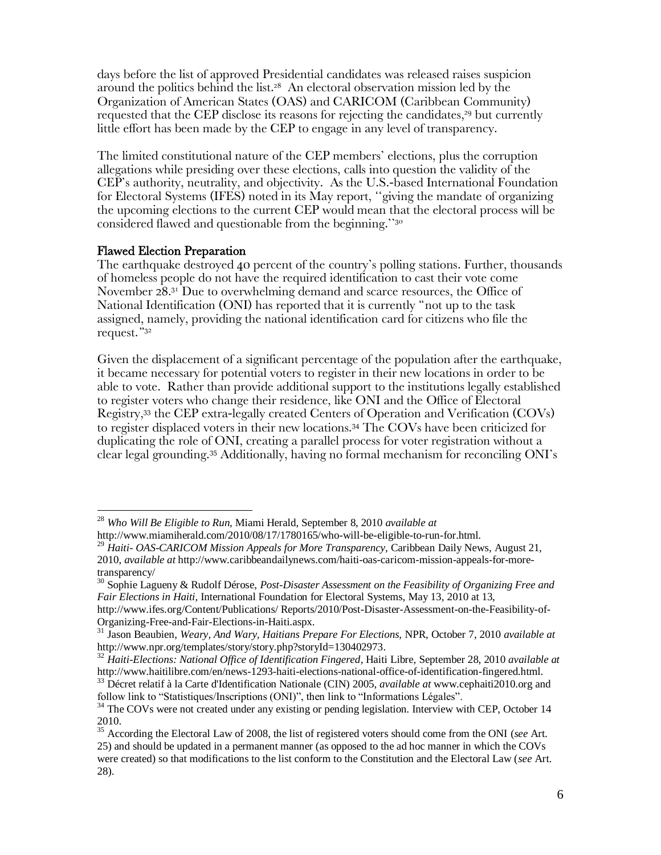days before the list of approved Presidential candidates was released raises suspicion around the politics behind the list. 28 An electoral observation mission led by the Organization of American States (OAS) and CARICOM (Caribbean Community) requested that the CEP disclose its reasons for rejecting the candidates, <sup>29</sup> but currently little effort has been made by the CEP to engage in any level of transparency.

The limited constitutional nature of the CEP members' elections, plus the corruption allegations while presiding over these elections, calls into question the validity of the CEP's authority, neutrality, and objectivity. As the U.S.-based International Foundation for Electoral Systems (IFES) noted in its May report, ''giving the mandate of organizing the upcoming elections to the current CEP would mean that the electoral process will be considered flawed and questionable from the beginning.''<sup>30</sup>

#### Flawed Election Preparation

 $\overline{a}$ 

The earthquake destroyed 40 percent of the country's polling stations. Further, thousands of homeless people do not have the required identification to cast their vote come November 28.<sup>31</sup> Due to overwhelming demand and scarce resources, the Office of National Identification (ONI) has reported that it is currently 'not up to the task assigned, namely, providing the national identification card for citizens who file the request.' 32

Given the displacement of a significant percentage of the population after the earthquake, it became necessary for potential voters to register in their new locations in order to be able to vote. Rather than provide additional support to the institutions legally established to register voters who change their residence, like ONI and the Office of Electoral Registry,<sup>33</sup> the CEP extra-legally created Centers of Operation and Verification (COVs) to register displaced voters in their new locations.<sup>34</sup> The COVs have been criticized for duplicating the role of ONI, creating a parallel process for voter registration without a clear legal grounding.<sup>35</sup> Additionally, having no formal mechanism for reconciling ONI's

Organizing-Free-and-Fair-Elections-in-Haiti.aspx.

<sup>28</sup> *Who Will Be Eligible to Run,* Miami Herald, September 8, 2010 *available at*

http://www.miamiherald.com/2010/08/17/1780165/who-will-be-eligible-to-run-for.html.

<sup>29</sup> *Haiti- OAS-CARICOM Mission Appeals for More Transparency,* Caribbean Daily News, August 21, 2010, *available at* http://www.caribbeandailynews.com/haiti-oas-caricom-mission-appeals-for-moretransparency/

<sup>30</sup> Sophie Lagueny & Rudolf Dérose, *Post-Disaster Assessment on the Feasibility of Organizing Free and Fair Elections in Haiti,* International Foundation for Electoral Systems, May 13, 2010 at 13, http://www.ifes.org/Content/Publications/ Reports/2010/Post-Disaster-Assessment-on-the-Feasibility-of-

<sup>31</sup> Jason Beaubien, *Weary, And Wary, Haitians Prepare For Elections,* NPR, October 7, 2010 *available at*  http://www.npr.org/templates/story/story.php?storyId=130402973.

<sup>32</sup> *Haiti-Elections: National Office of Identification Fingered*, Haiti Libre, September 28, 2010 *available at* http://www.haitilibre.com/en/news-1293-haiti-elections-national-office-of-identification-fingered.html.

<sup>33</sup> Décret relatif à la Carte d'Identification Nationale (CIN) 2005, *available at* [www.cephaiti2010.org](http://www.cephaiti2010.org/) and follow link to "Statistiques/Inscriptions (ONI)", then link to "Informations Légales".

<sup>&</sup>lt;sup>34</sup> The COVs were not created under any existing or pending legislation. Interview with CEP, October 14 2010.

<sup>&</sup>lt;sup>35</sup> According the Electoral Law of 2008, the list of registered voters should come from the ONI (*see* Art. 25) and should be updated in a permanent manner (as opposed to the ad hoc manner in which the COVs were created) so that modifications to the list conform to the Constitution and the Electoral Law (*see* Art. 28).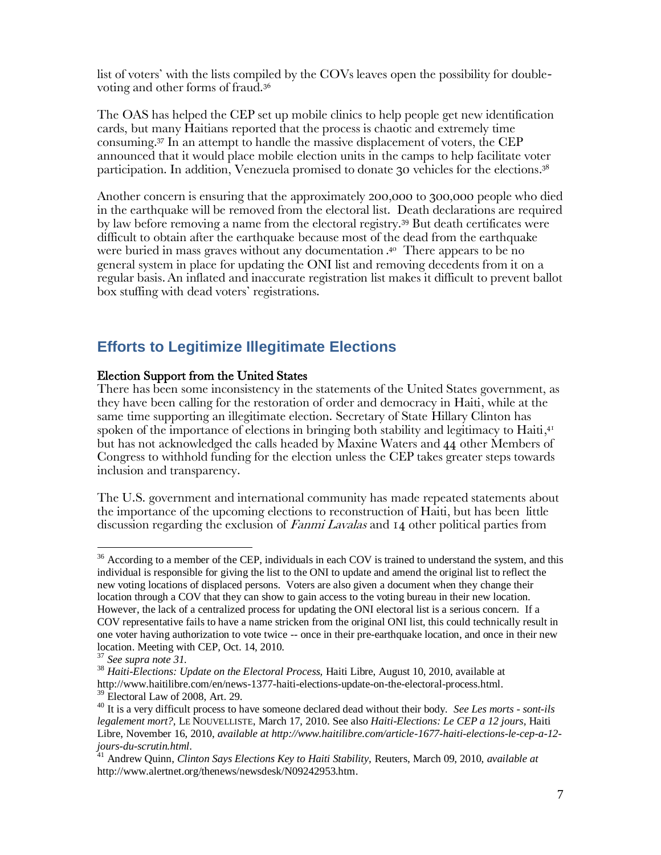list of voters' with the lists compiled by the COVs leaves open the possibility for doublevoting and other forms of fraud.<sup>36</sup>

The OAS has helped the CEP set up mobile clinics to help people get new identification cards, but many Haitians reported that the process is chaotic and extremely time consuming.<sup>37</sup> In an attempt to handle the massive displacement of voters, the CEP announced that it would place mobile election units in the camps to help facilitate voter participation. In addition, Venezuela promised to donate 30 vehicles for the elections. 38

Another concern is ensuring that the approximately 200,000 to 300,000 people who died in the earthquake will be removed from the electoral list. Death declarations are required by law before removing a name from the electoral registry.<sup>39</sup> But death certificates were difficult to obtain after the earthquake because most of the dead from the earthquake were buried in mass graves without any documentation . <sup>40</sup> There appears to be no general system in place for updating the ONI list and removing decedents from it on a regular basis.An inflated and inaccurate registration list makes it difficult to prevent ballot box stuffing with dead voters' registrations.

### **Efforts to Legitimize Illegitimate Elections**

#### Election Support from the United States

There has been some inconsistency in the statements of the United States government, as they have been calling for the restoration of order and democracy in Haiti, while at the same time supporting an illegitimate election. Secretary of State Hillary Clinton has spoken of the importance of elections in bringing both stability and legitimacy to  $\operatorname{Haiti}, ^\mathfrak{q}$ but has not acknowledged the calls headed by Maxine Waters and 44 other Members of Congress to withhold funding for the election unless the CEP takes greater steps towards inclusion and transparency.

The U.S. government and international community has made repeated statements about the importance of the upcoming elections to reconstruction of Haiti, but has been little discussion regarding the exclusion of *Fanmi Lavalas* and 14 other political parties from

<sup>&</sup>lt;sup>36</sup> According to a member of the CEP, individuals in each COV is trained to understand the system, and this individual is responsible for giving the list to the ONI to update and amend the original list to reflect the new voting locations of displaced persons. Voters are also given a document when they change their location through a COV that they can show to gain access to the voting bureau in their new location. However, the lack of a centralized process for updating the ONI electoral list is a serious concern. If a COV representative fails to have a name stricken from the original ONI list, this could technically result in one voter having authorization to vote twice -- once in their pre-earthquake location, and once in their new location. Meeting with CEP, Oct. 14, 2010.

<sup>37</sup> *See supra note 31.*

<sup>&</sup>lt;sup>38</sup> Haiti-Elections: Update on the Electoral Process, Haiti Libre, August 10, 2010, available at http://www.haitilibre.com/en/news-1377-haiti-elections-update-on-the-electoral-process.html. <sup>39</sup> Electoral Law of 2008, Art. 29.

<sup>40</sup> It is a very difficult process to have someone declared dead without their body. *See Les morts - sont-ils legalement mort?*, LE NOUVELLISTE, March 17, 2010. See also *Haiti-Elections: Le CEP a 12 jours,* Haiti Libre, November 16, 2010, *available at http://www.haitilibre.com/article-1677-haiti-elections-le-cep-a-12 jours-du-scrutin.html*.

<sup>41</sup> Andrew Quinn, *Clinton Says Elections Key to Haiti Stability,* Reuters, March 09, 2010, *available at*  http://www.alertnet.org/thenews/newsdesk/N09242953.htm.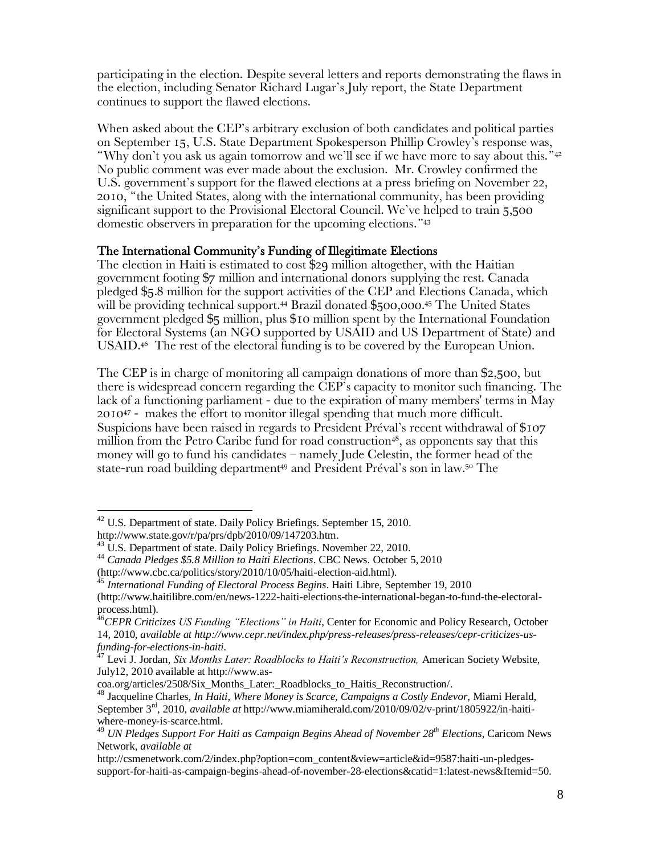participating in the election. Despite several letters and reports demonstrating the flaws in the election, including Senator Richard Lugar's July report, the State Department continues to support the flawed elections.

When asked about the CEP's arbitrary exclusion of both candidates and political parties on September 15, U.S. State Department Spokesperson Phillip Crowley's response was, 'Why don't you ask us again tomorrow and we'll see if we have more to say about this.'<sup>42</sup> No public comment was ever made about the exclusion. Mr. Crowley confirmed the U.S. government's support for the flawed elections at a press briefing on November 22, 2010, 'the United States, along with the international community, has been providing significant support to the Provisional Electoral Council. We've helped to train 5,500 domestic observers in preparation for the upcoming elections.'<sup>43</sup>

#### The International Community's Funding of Illegitimate Elections

The election in Haiti is estimated to cost \$29 million altogether, with the Haitian government footing \$7 million and international donors supplying the rest. Canada pledged \$5.8 million for the support activities of the CEP and Elections Canada, which will be providing technical support.<sup>44</sup> Brazil donated \$500,000.<sup>45</sup> The United States government pledged \$5 million, plus \$10 million spent by the International Foundation for Electoral Systems (an NGO supported by USAID and US Department of State) and USAID.<sup>46</sup> The rest of the electoral funding is to be covered by the European Union.

The CEP is in charge of monitoring all campaign donations of more than \$2,500, but there is widespread concern regarding the CEP's capacity to monitor such financing. The lack of a functioning parliament - due to the expiration of many members' terms in May 2010<sup>47</sup> - makes the effort to monitor illegal spending that much more difficult. Suspicions have been raised in regards to President Préval's recent withdrawal of \$107 million from the Petro Caribe fund for road construction<sup>48</sup>, as opponents say that this money will go to fund his candidates – namely Jude Celestin, the former head of the state-run road building department<sup>49</sup> and President Préval's son in law.<sup>50</sup> The

<sup>&</sup>lt;sup>42</sup> U.S. Department of state. Daily Policy Briefings. September 15, 2010.

http://www.state.gov/r/pa/prs/dpb/2010/09/147203.htm.

<sup>&</sup>lt;sup>43</sup> U.S. Department of state. Daily Policy Briefings. November 22, 2010.

<sup>44</sup> *Canada Pledges \$5.8 Million to Haiti Elections*. CBC News. October 5, 2010

<sup>(</sup>http://www.cbc.ca/politics/story/2010/10/05/haiti-election-aid.html).

<sup>&</sup>lt;sup>45</sup> International Funding of Electoral Process Begins. Haiti Libre, September 19, 2010 (http://www.haitilibre.com/en/news-1222-haiti-elections-the-international-began-to-fund-the-electoralprocess.html).

<sup>46</sup>*CEPR Criticizes US Funding "Elections" in Haiti*, Center for Economic and Policy Research, October 14, 2010, *available at http://www.cepr.net/index.php/press-releases/press-releases/cepr-criticizes-usfunding-for-elections-in-haiti.*

<sup>47</sup> Levi J. Jordan, *Six Months Later: Roadblocks to Haiti's Reconstruction,* American Society Website, July12, 2010 available at http://www.as-

coa.org/articles/2508/Six\_Months\_Later:\_Roadblocks\_to\_Haitis\_Reconstruction/.

<sup>48</sup> Jacqueline Charles, *In Haiti, Where Money is Scarce, Campaigns a Costly Endevor,* Miami Herald, September 3<sup>rd</sup>, 2010, *available at* http://www.miamiherald.com/2010/09/02/v-print/1805922/in-haitiwhere-money-is-scarce.html.

<sup>49</sup> *UN Pledges Support For Haiti as Campaign Begins Ahead of November 28th Elections*, Caricom News Network, *available at* 

http://csmenetwork.com/2/index.php?option=com\_content&view=article&id=9587:haiti-un-pledgessupport-for-haiti-as-campaign-begins-ahead-of-november-28-elections&catid=1:latest-news&Itemid=50.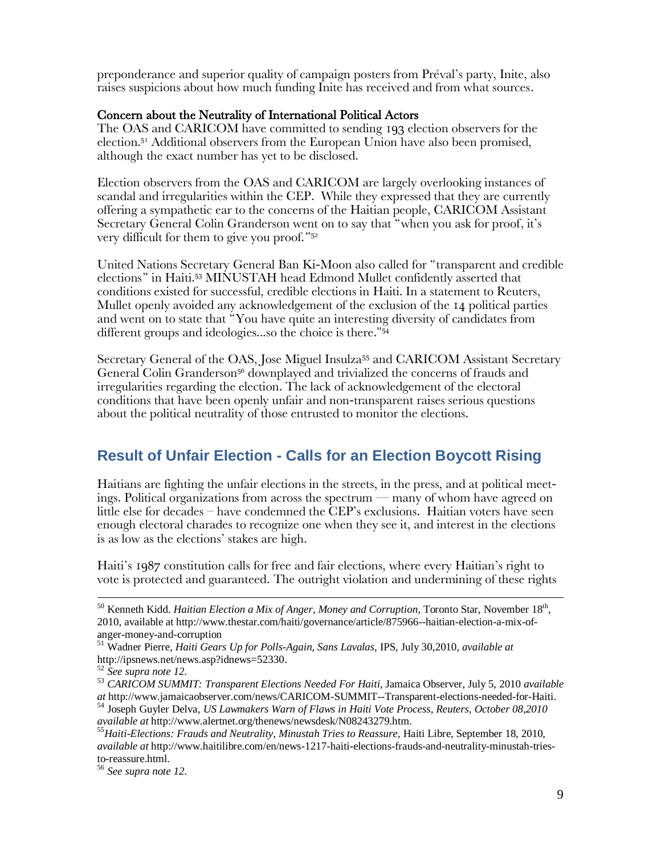preponderance and superior quality of campaign posters from Préval's party, Inite, also raises suspicions about how much funding Inite has received and from what sources.

#### Concern about the Neutrality of International Political Actors

The OAS and CARICOM have committed to sending 193 election observers for the election.<sup>51</sup> Additional observers from the European Union have also been promised, although the exact number has yet to be disclosed.

Election observers from the OAS and CARICOM are largely overlooking instances of scandal and irregularities within the CEP. While they expressed that they are currently offering a sympathetic ear to the concerns of the Haitian people, CARICOM Assistant Secretary General Colin Granderson went on to say that 'when you ask for proof, it's very difficult for them to give you proof.'<sup>52</sup>

United Nations Secretary General Ban Ki-Moon also called for 'transparent and credible elections' in Haiti.<sup>53</sup> MINUSTAH head Edmond Mullet confidently asserted that conditions existed for successful, credible elections in Haiti. In a statement to Reuters, Mullet openly avoided any acknowledgement of the exclusion of the 14 political parties and went on to state that 'You have quite an interesting diversity of candidates from different groups and ideologies...so the choice is there."<sup>54</sup>

Secretary General of the OAS, Jose Miguel Insulza<sup>55</sup> and CARICOM Assistant Secretary General Colin Granderson<sup>56</sup> downplayed and trivialized the concerns of frauds and irregularities regarding the election. The lack of acknowledgement of the electoral conditions that have been openly unfair and non-transparent raises serious questions about the political neutrality of those entrusted to monitor the elections.

# **Result of Unfair Election - Calls for an Election Boycott Rising**

Haitians are fighting the unfair elections in the streets, in the press, and at political meetings. Political organizations from across the spectrum — many of whom have agreed on little else for decades – have condemned the CEP's exclusions. Haitian voters have seen enough electoral charades to recognize one when they see it, and interest in the elections is as low as the elections' stakes are high.

Haiti's 1987 constitution calls for free and fair elections, where every Haitian's right to vote is protected and guaranteed. The outright violation and undermining of these rights

 $^{50}$  Kenneth Kidd. *Haitian Election a Mix of Anger, Money and Corruption*, Toronto Star, November 18<sup>th</sup>, 2010, available at http://www.thestar.com/haiti/governance/article/875966--haitian-election-a-mix-ofanger-money-and-corruption

<sup>51</sup> Wadner Pierre, *Haiti Gears Up for Polls-Again, Sans Lavalas,* IPS, July 30,2010, *available at*  http://ipsnews.net/news.asp?idnews=52330.

<sup>52</sup> *See supra note 12*.

<sup>53</sup> *CARICOM SUMMIT: Transparent Elections Needed For Haiti*, Jamaica Observer, July 5, 2010 *available at* http://www.jamaicaobserver.com/news/CARICOM-SUMMIT--Transparent-elections-needed-for-Haiti.

<sup>54</sup> Joseph Guyler Delva, *US Lawmakers Warn of Flaws in Haiti Vote Process, Reuters, October 08,2010 available at* http://www.alertnet.org/thenews/newsdesk/N08243279.htm.

<sup>&</sup>lt;sup>55</sup>Haiti-Elections: Frauds and Neutrality, Minustah Tries to Reassure, Haiti Libre, September 18, 2010, *available at* http://www.haitilibre.com/en/news-1217-haiti-elections-frauds-and-neutrality-minustah-triesto-reassure.html.

<sup>56</sup> *See supra note 12*.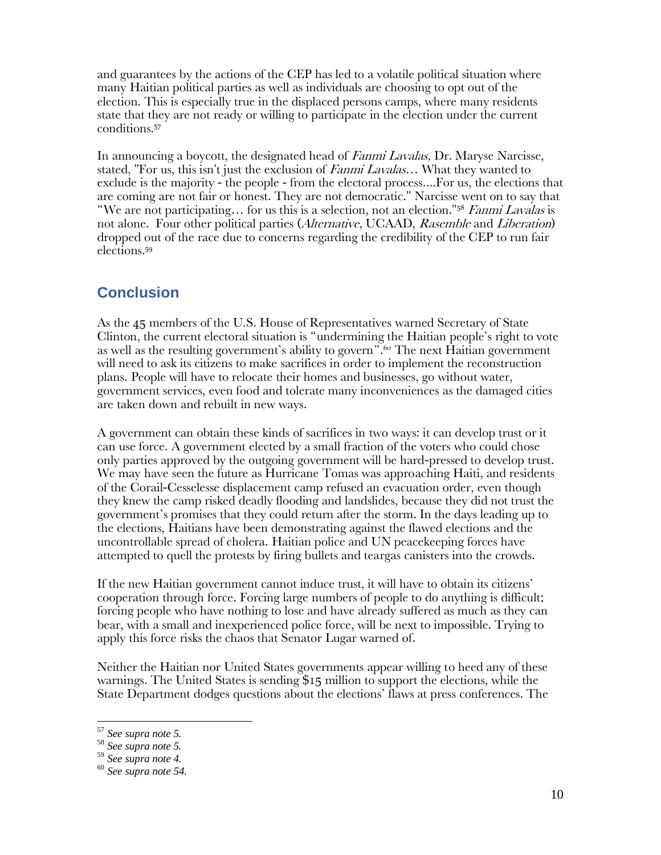and guarantees by the actions of the CEP has led to a volatile political situation where many Haitian political parties as well as individuals are choosing to opt out of the election. This is especially true in the displaced persons camps, where many residents state that they are not ready or willing to participate in the election under the current conditions. 57

In announcing a boycott, the designated head of *Fanmi Lavalas*, Dr. Maryse Narcisse, stated, "For us, this isn't just the exclusion of *Fanmi Lavalas*... What they wanted to exclude is the majority - the people - from the electoral process....For us, the elections that are coming are not fair or honest. They are not democratic." Narcisse went on to say that 'We are not participating… for us this is a selection, not an election."<sup>58</sup> Fanmi Lavalas is not alone. Four other political parties (*Alternative*, UCAAD, *Rasemble* and *Liberation*) dropped out of the race due to concerns regarding the credibility of the CEP to run fair elections.<sup>59</sup>

# **Conclusion**

As the 45 members of the U.S. House of Representatives warned Secretary of State Clinton, the current electoral situation is 'undermining the Haitian people's right to vote as well as the resulting government's ability to govern<sup>".60</sup> The next Haitian government will need to ask its citizens to make sacrifices in order to implement the reconstruction plans. People will have to relocate their homes and businesses, go without water, government services, even food and tolerate many inconveniences as the damaged cities are taken down and rebuilt in new ways.

A government can obtain these kinds of sacrifices in two ways: it can develop trust or it can use force. A government elected by a small fraction of the voters who could chose only parties approved by the outgoing government will be hard-pressed to develop trust. We may have seen the future as Hurricane Tomas was approaching Haiti, and residents of the Corail-Cesselesse displacement camp refused an evacuation order, even though they knew the camp risked deadly flooding and landslides, because they did not trust the government's promises that they could return after the storm. In the days leading up to the elections, Haitians have been demonstrating against the flawed elections and the uncontrollable spread of cholera. Haitian police and UN peacekeeping forces have attempted to quell the protests by firing bullets and teargas canisters into the crowds.

If the new Haitian government cannot induce trust, it will have to obtain its citizens' cooperation through force. Forcing large numbers of people to do anything is difficult; forcing people who have nothing to lose and have already suffered as much as they can bear, with a small and inexperienced police force, will be next to impossible. Trying to apply this force risks the chaos that Senator Lugar warned of.

Neither the Haitian nor United States governments appear willing to heed any of these warnings. The United States is sending \$15 million to support the elections, while the State Department dodges questions about the elections' flaws at press conferences. The

<sup>57</sup> *See supra note 5.* 

<sup>58</sup> *See supra note 5.* 

<sup>59</sup> *See supra note 4.*

<sup>60</sup> *See supra note 54.*